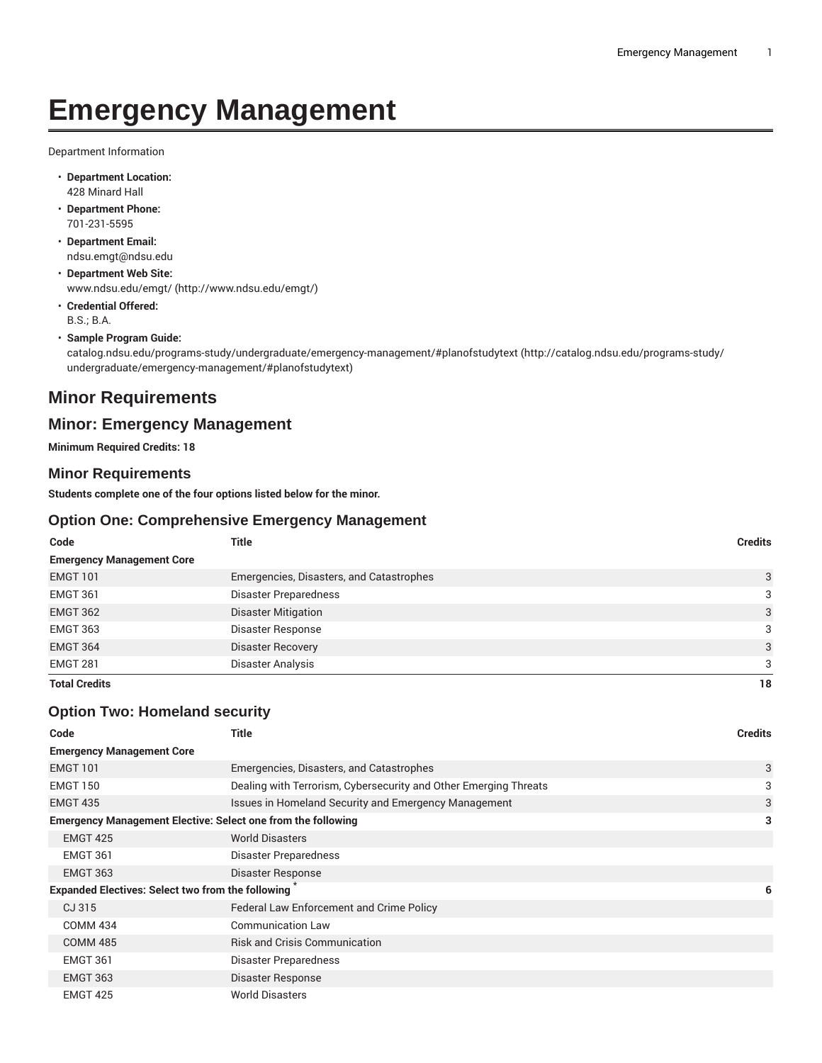# **Emergency Management**

Department Information

- **Department Location:** 428 Minard Hall
- **Department Phone:** 701-231-5595
- **Department Email:** [ndsu.emgt@ndsu.edu](mailto:ndsu.emgt@ndsu.edu)
- **Department Web Site:** [www.ndsu.edu/emgt/](http://www.ndsu.edu/emgt/) (<http://www.ndsu.edu/emgt/>)
- **Credential Offered:** B.S.; B.A.
- **Sample Program Guide:**

[catalog.ndsu.edu/programs-study/undergraduate/emergency-management/#planofstudytext](http://catalog.ndsu.edu/programs-study/undergraduate/emergency-management/#planofstudytext) ([http://catalog.ndsu.edu/programs-study/](http://catalog.ndsu.edu/programs-study/undergraduate/emergency-management/#planofstudytext) [undergraduate/emergency-management/#planofstudytext](http://catalog.ndsu.edu/programs-study/undergraduate/emergency-management/#planofstudytext))

# **Minor Requirements**

# **Minor: Emergency Management**

**Minimum Required Credits: 18**

### **Minor Requirements**

**Students complete one of the four options listed below for the minor.**

### **Option One: Comprehensive Emergency Management**

| Code                             | Title                                    | <b>Credits</b> |
|----------------------------------|------------------------------------------|----------------|
| <b>Emergency Management Core</b> |                                          |                |
| <b>EMGT 101</b>                  | Emergencies, Disasters, and Catastrophes | 3              |
| <b>EMGT 361</b>                  | <b>Disaster Preparedness</b>             | 3              |
| <b>EMGT 362</b>                  | <b>Disaster Mitigation</b>               | 3              |
| <b>EMGT 363</b>                  | Disaster Response                        | 3              |
| <b>EMGT 364</b>                  | <b>Disaster Recovery</b>                 | 3              |
| <b>EMGT 281</b>                  | Disaster Analysis                        | 3              |
| <b>Total Credits</b>             |                                          | 18             |

### **Option Two: Homeland security**

| Code                                                                | Title                                                            | <b>Credits</b> |
|---------------------------------------------------------------------|------------------------------------------------------------------|----------------|
| <b>Emergency Management Core</b>                                    |                                                                  |                |
| <b>EMGT 101</b>                                                     | Emergencies, Disasters, and Catastrophes                         | 3              |
| <b>EMGT 150</b>                                                     | Dealing with Terrorism, Cybersecurity and Other Emerging Threats | 3              |
| <b>EMGT 435</b>                                                     | Issues in Homeland Security and Emergency Management             | 3              |
| <b>Emergency Management Elective: Select one from the following</b> |                                                                  | 3              |
| <b>EMGT 425</b>                                                     | <b>World Disasters</b>                                           |                |
| <b>EMGT 361</b>                                                     | Disaster Preparedness                                            |                |
| <b>EMGT 363</b>                                                     | Disaster Response                                                |                |
| Expanded Electives: Select two from the following                   |                                                                  | 6              |
| CJ 315                                                              | Federal Law Enforcement and Crime Policy                         |                |
| <b>COMM 434</b>                                                     | <b>Communication Law</b>                                         |                |
| <b>COMM 485</b>                                                     | <b>Risk and Crisis Communication</b>                             |                |
| <b>EMGT 361</b>                                                     | Disaster Preparedness                                            |                |
| <b>EMGT 363</b>                                                     | Disaster Response                                                |                |
| <b>EMGT 425</b>                                                     | <b>World Disasters</b>                                           |                |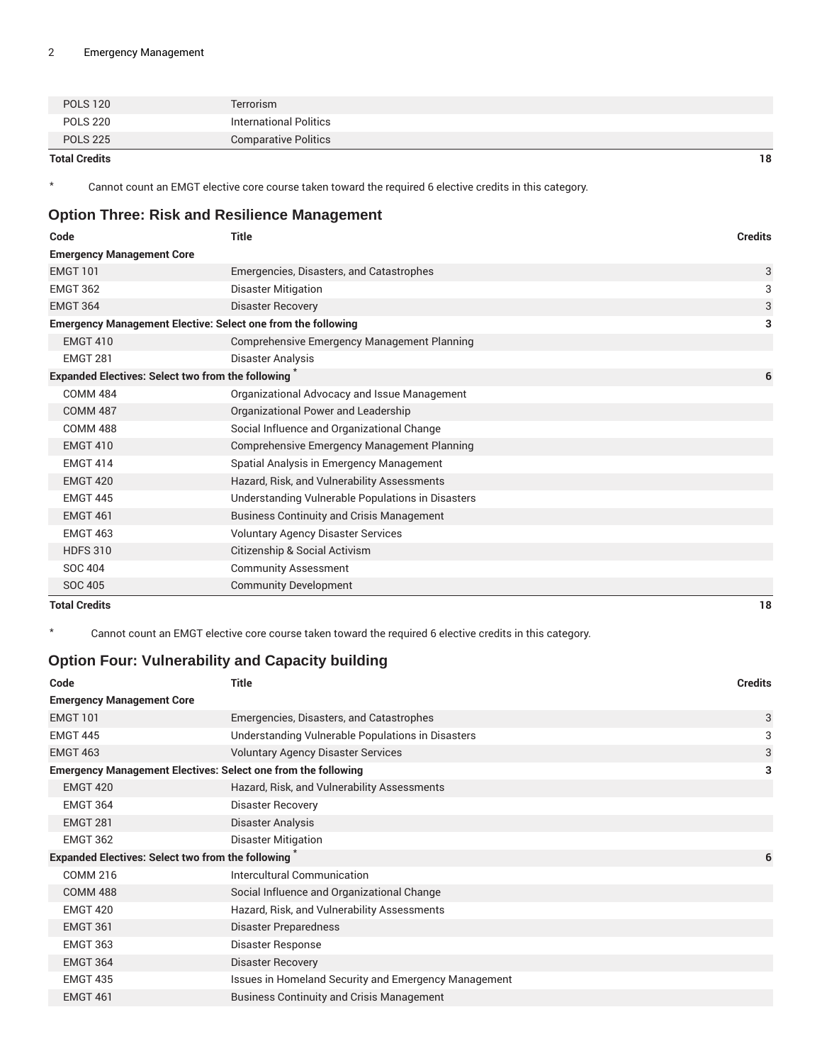| <b>Total Credits</b> |                             | 18 |
|----------------------|-----------------------------|----|
| <b>POLS 225</b>      | <b>Comparative Politics</b> |    |
| <b>POLS 220</b>      | International Politics      |    |
| <b>POLS 120</b>      | Terrorism                   |    |

\* Cannot count an EMGT elective core course taken toward the required 6 elective credits in this category.

# **Option Three: Risk and Resilience Management**

| Code                                                                | <b>Title</b>                                       | <b>Credits</b> |
|---------------------------------------------------------------------|----------------------------------------------------|----------------|
| <b>Emergency Management Core</b>                                    |                                                    |                |
| <b>EMGT 101</b>                                                     | Emergencies, Disasters, and Catastrophes           | 3              |
| <b>EMGT 362</b>                                                     | Disaster Mitigation                                | 3              |
| <b>EMGT 364</b>                                                     | <b>Disaster Recovery</b>                           | 3              |
| <b>Emergency Management Elective: Select one from the following</b> |                                                    | 3              |
| <b>EMGT 410</b>                                                     | <b>Comprehensive Emergency Management Planning</b> |                |
| <b>EMGT 281</b>                                                     | Disaster Analysis                                  |                |
| <b>Expanded Electives: Select two from the following</b>            |                                                    | 6              |
| <b>COMM 484</b>                                                     | Organizational Advocacy and Issue Management       |                |
| <b>COMM 487</b>                                                     | Organizational Power and Leadership                |                |
| <b>COMM 488</b>                                                     | Social Influence and Organizational Change         |                |
| <b>EMGT 410</b>                                                     | <b>Comprehensive Emergency Management Planning</b> |                |
| <b>EMGT 414</b>                                                     | Spatial Analysis in Emergency Management           |                |
| <b>EMGT 420</b>                                                     | Hazard, Risk, and Vulnerability Assessments        |                |
| <b>EMGT 445</b>                                                     | Understanding Vulnerable Populations in Disasters  |                |
| <b>EMGT 461</b>                                                     | <b>Business Continuity and Crisis Management</b>   |                |
| <b>EMGT 463</b>                                                     | <b>Voluntary Agency Disaster Services</b>          |                |
| <b>HDFS 310</b>                                                     | Citizenship & Social Activism                      |                |
| <b>SOC 404</b>                                                      | <b>Community Assessment</b>                        |                |
| <b>SOC 405</b>                                                      | <b>Community Development</b>                       |                |
| <b>Total Credits</b>                                                |                                                    | 18             |

Cannot count an EMGT elective core course taken toward the required 6 elective credits in this category.

# **Option Four: Vulnerability and Capacity building**

| Code                             | Title                                                                | <b>Credits</b> |
|----------------------------------|----------------------------------------------------------------------|----------------|
| <b>Emergency Management Core</b> |                                                                      |                |
| <b>EMGT 101</b>                  | Emergencies, Disasters, and Catastrophes                             | 3              |
| <b>EMGT 445</b>                  | Understanding Vulnerable Populations in Disasters                    | 3              |
| <b>EMGT 463</b>                  | <b>Voluntary Agency Disaster Services</b>                            | 3              |
|                                  | <b>Emergency Management Electives: Select one from the following</b> | 3              |
| <b>EMGT 420</b>                  | Hazard, Risk, and Vulnerability Assessments                          |                |
| EMGT 364                         | <b>Disaster Recovery</b>                                             |                |
| <b>EMGT 281</b>                  | Disaster Analysis                                                    |                |
| <b>EMGT 362</b>                  | <b>Disaster Mitigation</b>                                           |                |
|                                  | Expanded Electives: Select two from the following                    | 6              |
| <b>COMM 216</b>                  | Intercultural Communication                                          |                |
| <b>COMM 488</b>                  | Social Influence and Organizational Change                           |                |
| EMGT 420                         | Hazard, Risk, and Vulnerability Assessments                          |                |
| <b>EMGT 361</b>                  | Disaster Preparedness                                                |                |
| <b>EMGT 363</b>                  | Disaster Response                                                    |                |
| <b>EMGT 364</b>                  | <b>Disaster Recovery</b>                                             |                |
| <b>EMGT 435</b>                  | Issues in Homeland Security and Emergency Management                 |                |
| <b>EMGT 461</b>                  | <b>Business Continuity and Crisis Management</b>                     |                |